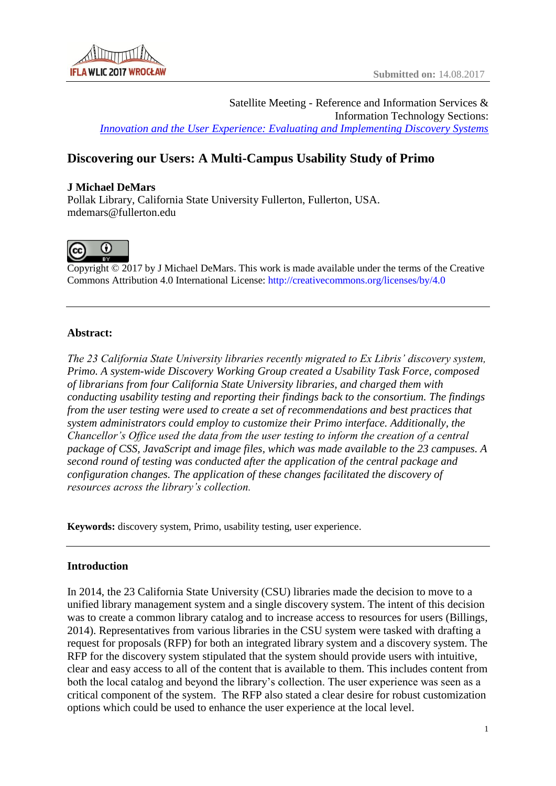Satellite Meeting - Reference and Information Services & Information Technology Sections: *[Innovation and the User Experience: Evaluating and Implementing Discovery Systems](http://libapps.libraries.uc.edu/sites/ifla-riss-its-satelite/)*

# **Discovering our Users: A Multi-Campus Usability Study of Primo**

### **J Michael DeMars**

Pollak Library, California State University Fullerton, Fullerton, USA. mdemars@fullerton.edu



Copyright © 2017 by J Michael DeMars. This work is made available under the terms of the Creative Commons Attribution 4.0 International License: <http://creativecommons.org/licenses/by/4.0>

### **Abstract:**

*The 23 California State University libraries recently migrated to Ex Libris' discovery system, Primo. A system-wide Discovery Working Group created a Usability Task Force, composed of librarians from four California State University libraries, and charged them with conducting usability testing and reporting their findings back to the consortium. The findings from the user testing were used to create a set of recommendations and best practices that system administrators could employ to customize their Primo interface. Additionally, the Chancellor's Office used the data from the user testing to inform the creation of a central package of CSS, JavaScript and image files, which was made available to the 23 campuses. A second round of testing was conducted after the application of the central package and configuration changes. The application of these changes facilitated the discovery of resources across the library's collection.*

**Keywords:** discovery system, Primo, usability testing, user experience.

## **Introduction**

In 2014, the 23 California State University (CSU) libraries made the decision to move to a unified library management system and a single discovery system. The intent of this decision was to create a common library catalog and to increase access to resources for users (Billings, 2014). Representatives from various libraries in the CSU system were tasked with drafting a request for proposals (RFP) for both an integrated library system and a discovery system. The RFP for the discovery system stipulated that the system should provide users with intuitive, clear and easy access to all of the content that is available to them. This includes content from both the local catalog and beyond the library's collection. The user experience was seen as a critical component of the system. The RFP also stated a clear desire for robust customization options which could be used to enhance the user experience at the local level.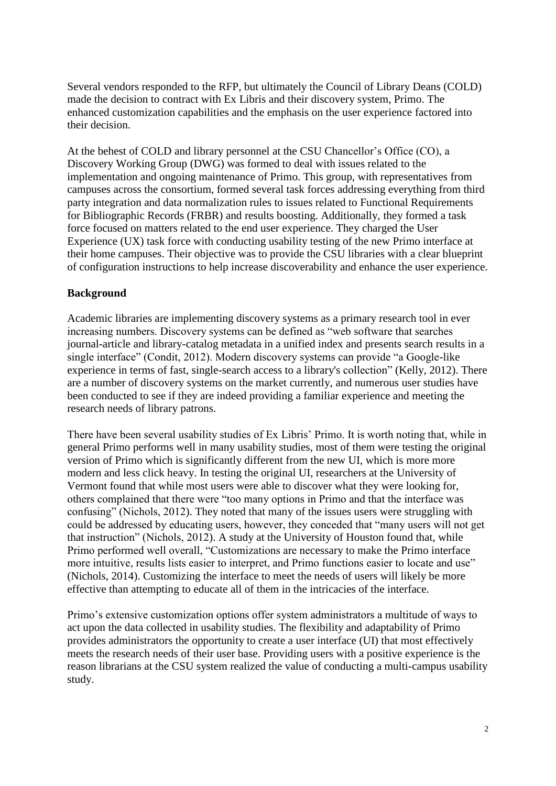Several vendors responded to the RFP, but ultimately the Council of Library Deans (COLD) made the decision to contract with Ex Libris and their discovery system, Primo. The enhanced customization capabilities and the emphasis on the user experience factored into their decision.

At the behest of COLD and library personnel at the CSU Chancellor's Office (CO), a Discovery Working Group (DWG) was formed to deal with issues related to the implementation and ongoing maintenance of Primo. This group, with representatives from campuses across the consortium, formed several task forces addressing everything from third party integration and data normalization rules to issues related to Functional Requirements for Bibliographic Records (FRBR) and results boosting. Additionally, they formed a task force focused on matters related to the end user experience. They charged the User Experience (UX) task force with conducting usability testing of the new Primo interface at their home campuses. Their objective was to provide the CSU libraries with a clear blueprint of configuration instructions to help increase discoverability and enhance the user experience.

### **Background**

Academic libraries are implementing discovery systems as a primary research tool in ever increasing numbers. Discovery systems can be defined as "web software that searches journal-article and library-catalog metadata in a unified index and presents search results in a single interface" (Condit, 2012). Modern discovery systems can provide "a Google-like experience in terms of fast, single-search access to a library's collection" (Kelly, 2012). There are a number of discovery systems on the market currently, and numerous user studies have been conducted to see if they are indeed providing a familiar experience and meeting the research needs of library patrons.

There have been several usability studies of Ex Libris' Primo. It is worth noting that, while in general Primo performs well in many usability studies, most of them were testing the original version of Primo which is significantly different from the new UI, which is more more modern and less click heavy. In testing the original UI, researchers at the University of Vermont found that while most users were able to discover what they were looking for, others complained that there were "too many options in Primo and that the interface was confusing" (Nichols, 2012). They noted that many of the issues users were struggling with could be addressed by educating users, however, they conceded that "many users will not get that instruction" (Nichols, 2012). A study at the University of Houston found that, while Primo performed well overall, "Customizations are necessary to make the Primo interface more intuitive, results lists easier to interpret, and Primo functions easier to locate and use" (Nichols, 2014). Customizing the interface to meet the needs of users will likely be more effective than attempting to educate all of them in the intricacies of the interface.

Primo's extensive customization options offer system administrators a multitude of ways to act upon the data collected in usability studies. The flexibility and adaptability of Primo provides administrators the opportunity to create a user interface (UI) that most effectively meets the research needs of their user base. Providing users with a positive experience is the reason librarians at the CSU system realized the value of conducting a multi-campus usability study.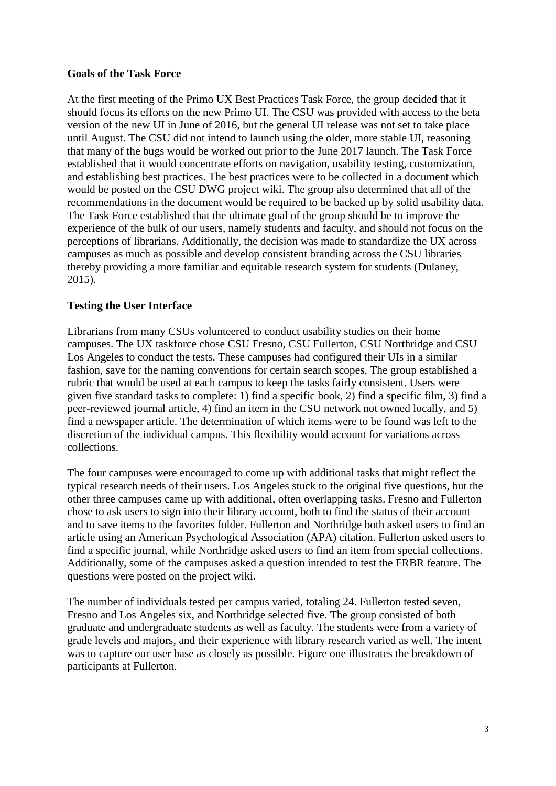### **Goals of the Task Force**

At the first meeting of the Primo UX Best Practices Task Force, the group decided that it should focus its efforts on the new Primo UI. The CSU was provided with access to the beta version of the new UI in June of 2016, but the general UI release was not set to take place until August. The CSU did not intend to launch using the older, more stable UI, reasoning that many of the bugs would be worked out prior to the June 2017 launch. The Task Force established that it would concentrate efforts on navigation, usability testing, customization, and establishing best practices. The best practices were to be collected in a document which would be posted on the CSU DWG project wiki. The group also determined that all of the recommendations in the document would be required to be backed up by solid usability data. The Task Force established that the ultimate goal of the group should be to improve the experience of the bulk of our users, namely students and faculty, and should not focus on the perceptions of librarians. Additionally, the decision was made to standardize the UX across campuses as much as possible and develop consistent branding across the CSU libraries thereby providing a more familiar and equitable research system for students (Dulaney, 2015).

### **Testing the User Interface**

Librarians from many CSUs volunteered to conduct usability studies on their home campuses. The UX taskforce chose CSU Fresno, CSU Fullerton, CSU Northridge and CSU Los Angeles to conduct the tests. These campuses had configured their UIs in a similar fashion, save for the naming conventions for certain search scopes. The group established a rubric that would be used at each campus to keep the tasks fairly consistent. Users were given five standard tasks to complete: 1) find a specific book, 2) find a specific film, 3) find a peer-reviewed journal article, 4) find an item in the CSU network not owned locally, and 5) find a newspaper article. The determination of which items were to be found was left to the discretion of the individual campus. This flexibility would account for variations across collections.

The four campuses were encouraged to come up with additional tasks that might reflect the typical research needs of their users. Los Angeles stuck to the original five questions, but the other three campuses came up with additional, often overlapping tasks. Fresno and Fullerton chose to ask users to sign into their library account, both to find the status of their account and to save items to the favorites folder. Fullerton and Northridge both asked users to find an article using an American Psychological Association (APA) citation. Fullerton asked users to find a specific journal, while Northridge asked users to find an item from special collections. Additionally, some of the campuses asked a question intended to test the FRBR feature. The questions were posted on the project wiki.

The number of individuals tested per campus varied, totaling 24. Fullerton tested seven, Fresno and Los Angeles six, and Northridge selected five. The group consisted of both graduate and undergraduate students as well as faculty. The students were from a variety of grade levels and majors, and their experience with library research varied as well. The intent was to capture our user base as closely as possible. Figure one illustrates the breakdown of participants at Fullerton.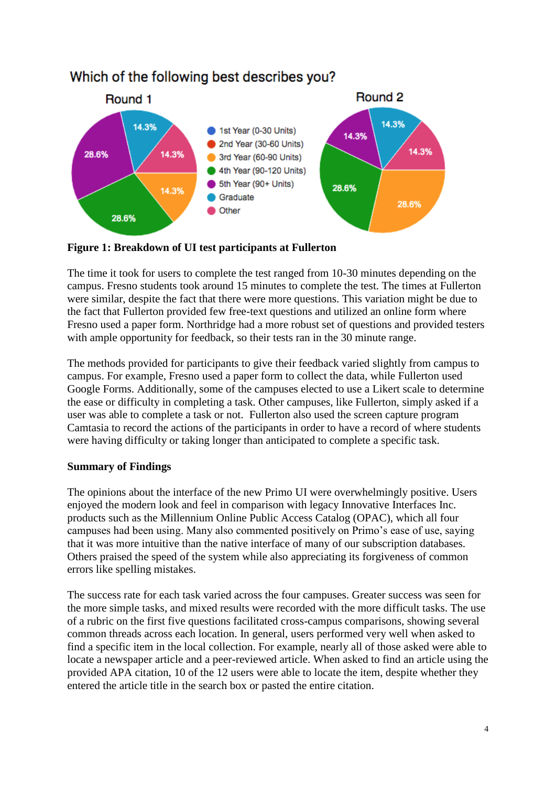

# Which of the following best describes you?

**Figure 1: Breakdown of UI test participants at Fullerton**

The time it took for users to complete the test ranged from 10-30 minutes depending on the campus. Fresno students took around 15 minutes to complete the test. The times at Fullerton were similar, despite the fact that there were more questions. This variation might be due to the fact that Fullerton provided few free-text questions and utilized an online form where Fresno used a paper form. Northridge had a more robust set of questions and provided testers with ample opportunity for feedback, so their tests ran in the 30 minute range.

The methods provided for participants to give their feedback varied slightly from campus to campus. For example, Fresno used a paper form to collect the data, while Fullerton used Google Forms. Additionally, some of the campuses elected to use a Likert scale to determine the ease or difficulty in completing a task. Other campuses, like Fullerton, simply asked if a user was able to complete a task or not. Fullerton also used the screen capture program Camtasia to record the actions of the participants in order to have a record of where students were having difficulty or taking longer than anticipated to complete a specific task.

# **Summary of Findings**

The opinions about the interface of the new Primo UI were overwhelmingly positive. Users enjoyed the modern look and feel in comparison with legacy Innovative Interfaces Inc. products such as the Millennium Online Public Access Catalog (OPAC), which all four campuses had been using. Many also commented positively on Primo's ease of use, saying that it was more intuitive than the native interface of many of our subscription databases. Others praised the speed of the system while also appreciating its forgiveness of common errors like spelling mistakes.

The success rate for each task varied across the four campuses. Greater success was seen for the more simple tasks, and mixed results were recorded with the more difficult tasks. The use of a rubric on the first five questions facilitated cross-campus comparisons, showing several common threads across each location. In general, users performed very well when asked to find a specific item in the local collection. For example, nearly all of those asked were able to locate a newspaper article and a peer-reviewed article. When asked to find an article using the provided APA citation, 10 of the 12 users were able to locate the item, despite whether they entered the article title in the search box or pasted the entire citation.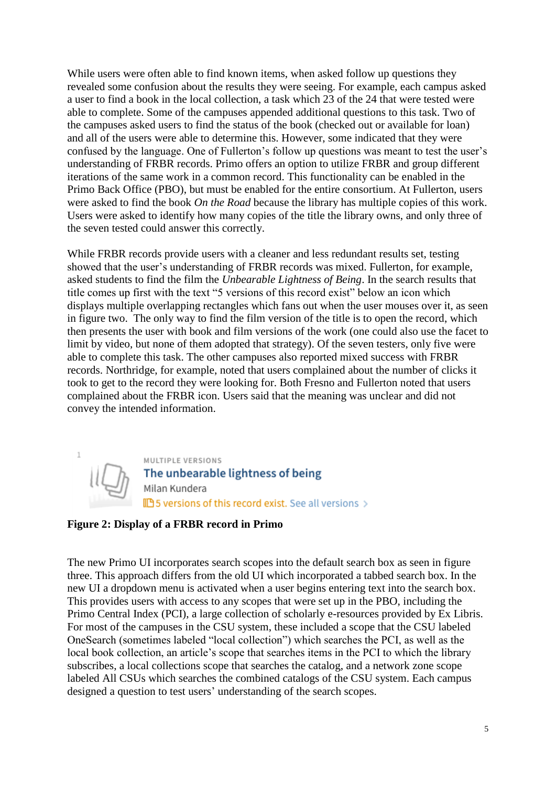While users were often able to find known items, when asked follow up questions they revealed some confusion about the results they were seeing. For example, each campus asked a user to find a book in the local collection, a task which 23 of the 24 that were tested were able to complete. Some of the campuses appended additional questions to this task. Two of the campuses asked users to find the status of the book (checked out or available for loan) and all of the users were able to determine this. However, some indicated that they were confused by the language. One of Fullerton's follow up questions was meant to test the user's understanding of FRBR records. Primo offers an option to utilize FRBR and group different iterations of the same work in a common record. This functionality can be enabled in the Primo Back Office (PBO), but must be enabled for the entire consortium. At Fullerton, users were asked to find the book *On the Road* because the library has multiple copies of this work. Users were asked to identify how many copies of the title the library owns, and only three of the seven tested could answer this correctly.

While FRBR records provide users with a cleaner and less redundant results set, testing showed that the user's understanding of FRBR records was mixed. Fullerton, for example, asked students to find the film the *Unbearable Lightness of Being*. In the search results that title comes up first with the text "5 versions of this record exist" below an icon which displays multiple overlapping rectangles which fans out when the user mouses over it, as seen in figure two. The only way to find the film version of the title is to open the record, which then presents the user with book and film versions of the work (one could also use the facet to limit by video, but none of them adopted that strategy). Of the seven testers, only five were able to complete this task. The other campuses also reported mixed success with FRBR records. Northridge, for example, noted that users complained about the number of clicks it took to get to the record they were looking for. Both Fresno and Fullerton noted that users complained about the FRBR icon. Users said that the meaning was unclear and did not convey the intended information.



## **Figure 2: Display of a FRBR record in Primo**

The new Primo UI incorporates search scopes into the default search box as seen in figure three. This approach differs from the old UI which incorporated a tabbed search box. In the new UI a dropdown menu is activated when a user begins entering text into the search box. This provides users with access to any scopes that were set up in the PBO, including the Primo Central Index (PCI), a large collection of scholarly e-resources provided by Ex Libris. For most of the campuses in the CSU system, these included a scope that the CSU labeled OneSearch (sometimes labeled "local collection") which searches the PCI, as well as the local book collection, an article's scope that searches items in the PCI to which the library subscribes, a local collections scope that searches the catalog, and a network zone scope labeled All CSUs which searches the combined catalogs of the CSU system. Each campus designed a question to test users' understanding of the search scopes.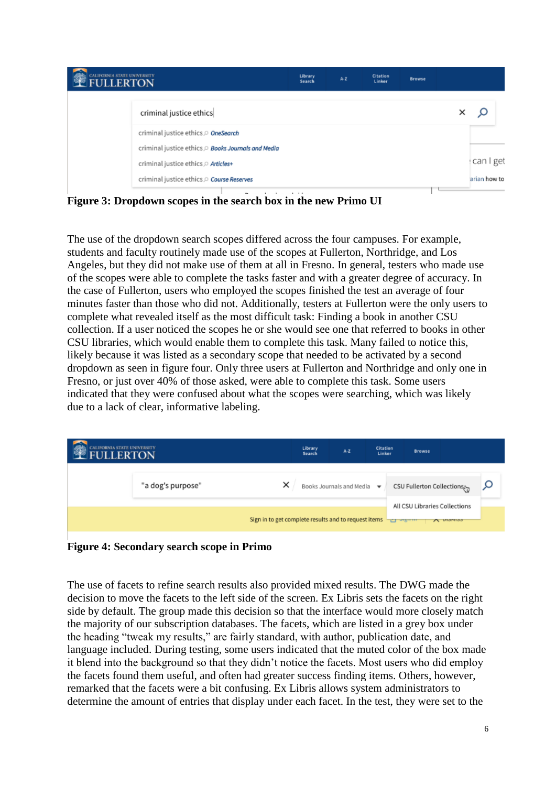| CALIFORNIA STATE UNIVERSITY |                                                  | Library<br>Search | $A - Z$ | <b>Citation</b><br>Linker | <b>Browse</b> |              |
|-----------------------------|--------------------------------------------------|-------------------|---------|---------------------------|---------------|--------------|
|                             | criminal justice ethics                          |                   |         |                           |               | ×<br>Q       |
|                             | criminal justice ethics OneSearch                |                   |         |                           |               |              |
|                             | criminal justice ethics Books Journals and Media |                   |         |                           |               |              |
|                             | criminal justice ethics $\supset$ Articles+      |                   |         |                           |               | can I get    |
|                             | criminal justice ethics O Course Reserves        |                   |         |                           |               | arian how to |

**Figure 3: Dropdown scopes in the search box in the new Primo UI**

The use of the dropdown search scopes differed across the four campuses. For example, students and faculty routinely made use of the scopes at Fullerton, Northridge, and Los Angeles, but they did not make use of them at all in Fresno. In general, testers who made use of the scopes were able to complete the tasks faster and with a greater degree of accuracy. In the case of Fullerton, users who employed the scopes finished the test an average of four minutes faster than those who did not. Additionally, testers at Fullerton were the only users to complete what revealed itself as the most difficult task: Finding a book in another CSU collection. If a user noticed the scopes he or she would see one that referred to books in other CSU libraries, which would enable them to complete this task. Many failed to notice this, likely because it was listed as a secondary scope that needed to be activated by a second dropdown as seen in figure four. Only three users at Fullerton and Northridge and only one in Fresno, or just over 40% of those asked, were able to complete this task. Some users indicated that they were confused about what the scopes were searching, which was likely due to a lack of clear, informative labeling.

| CALIFORNIA STATE UNIVERSITY<br><b>FULLERTON</b> |                   | Library<br>Search                                    | $A - Z$                                       | Citation<br>Linker | <b>Browse</b>                 |              |  |
|-------------------------------------------------|-------------------|------------------------------------------------------|-----------------------------------------------|--------------------|-------------------------------|--------------|--|
|                                                 | "a dog's purpose" | ×                                                    | Books Journals and Media $\blacktriangledown$ |                    | CSU Fullerton Collections,    |              |  |
|                                                 |                   | Sign in to get complete results and to request items |                                               | <b>TEL ORDER</b>   | All CSU Libraries Collections | $A$ nighting |  |

**Figure 4: Secondary search scope in Primo**

The use of facets to refine search results also provided mixed results. The DWG made the decision to move the facets to the left side of the screen. Ex Libris sets the facets on the right side by default. The group made this decision so that the interface would more closely match the majority of our subscription databases. The facets, which are listed in a grey box under the heading "tweak my results," are fairly standard, with author, publication date, and language included. During testing, some users indicated that the muted color of the box made it blend into the background so that they didn't notice the facets. Most users who did employ the facets found them useful, and often had greater success finding items. Others, however, remarked that the facets were a bit confusing. Ex Libris allows system administrators to determine the amount of entries that display under each facet. In the test, they were set to the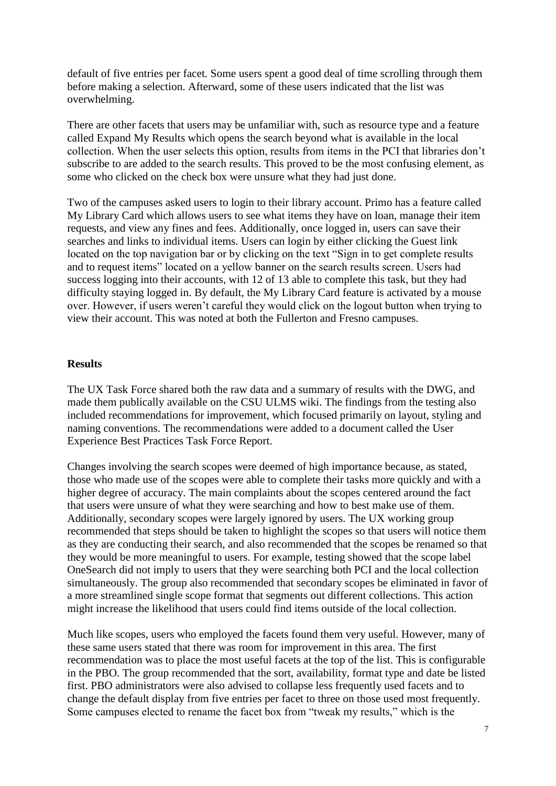default of five entries per facet. Some users spent a good deal of time scrolling through them before making a selection. Afterward, some of these users indicated that the list was overwhelming.

There are other facets that users may be unfamiliar with, such as resource type and a feature called Expand My Results which opens the search beyond what is available in the local collection. When the user selects this option, results from items in the PCI that libraries don't subscribe to are added to the search results. This proved to be the most confusing element, as some who clicked on the check box were unsure what they had just done.

Two of the campuses asked users to login to their library account. Primo has a feature called My Library Card which allows users to see what items they have on loan, manage their item requests, and view any fines and fees. Additionally, once logged in, users can save their searches and links to individual items. Users can login by either clicking the Guest link located on the top navigation bar or by clicking on the text "Sign in to get complete results and to request items" located on a yellow banner on the search results screen. Users had success logging into their accounts, with 12 of 13 able to complete this task, but they had difficulty staying logged in. By default, the My Library Card feature is activated by a mouse over. However, if users weren't careful they would click on the logout button when trying to view their account. This was noted at both the Fullerton and Fresno campuses.

#### **Results**

The UX Task Force shared both the raw data and a summary of results with the DWG, and made them publically available on the CSU ULMS wiki. The findings from the testing also included recommendations for improvement, which focused primarily on layout, styling and naming conventions. The recommendations were added to a document called the User Experience Best Practices Task Force Report.

Changes involving the search scopes were deemed of high importance because, as stated, those who made use of the scopes were able to complete their tasks more quickly and with a higher degree of accuracy. The main complaints about the scopes centered around the fact that users were unsure of what they were searching and how to best make use of them. Additionally, secondary scopes were largely ignored by users. The UX working group recommended that steps should be taken to highlight the scopes so that users will notice them as they are conducting their search, and also recommended that the scopes be renamed so that they would be more meaningful to users. For example, testing showed that the scope label OneSearch did not imply to users that they were searching both PCI and the local collection simultaneously. The group also recommended that secondary scopes be eliminated in favor of a more streamlined single scope format that segments out different collections. This action might increase the likelihood that users could find items outside of the local collection.

Much like scopes, users who employed the facets found them very useful. However, many of these same users stated that there was room for improvement in this area. The first recommendation was to place the most useful facets at the top of the list. This is configurable in the PBO. The group recommended that the sort, availability, format type and date be listed first. PBO administrators were also advised to collapse less frequently used facets and to change the default display from five entries per facet to three on those used most frequently. Some campuses elected to rename the facet box from "tweak my results," which is the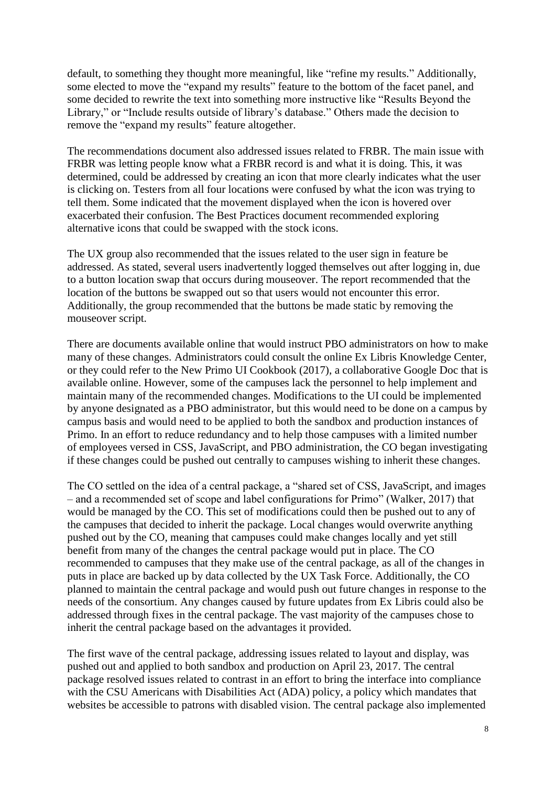default, to something they thought more meaningful, like "refine my results." Additionally, some elected to move the "expand my results" feature to the bottom of the facet panel, and some decided to rewrite the text into something more instructive like "Results Beyond the Library," or "Include results outside of library's database." Others made the decision to remove the "expand my results" feature altogether.

The recommendations document also addressed issues related to FRBR. The main issue with FRBR was letting people know what a FRBR record is and what it is doing. This, it was determined, could be addressed by creating an icon that more clearly indicates what the user is clicking on. Testers from all four locations were confused by what the icon was trying to tell them. Some indicated that the movement displayed when the icon is hovered over exacerbated their confusion. The Best Practices document recommended exploring alternative icons that could be swapped with the stock icons.

The UX group also recommended that the issues related to the user sign in feature be addressed. As stated, several users inadvertently logged themselves out after logging in, due to a button location swap that occurs during mouseover. The report recommended that the location of the buttons be swapped out so that users would not encounter this error. Additionally, the group recommended that the buttons be made static by removing the mouseover script.

There are documents available online that would instruct PBO administrators on how to make many of these changes. Administrators could consult the online Ex Libris Knowledge Center, or they could refer to the New Primo UI Cookbook (2017), a collaborative Google Doc that is available online. However, some of the campuses lack the personnel to help implement and maintain many of the recommended changes. Modifications to the UI could be implemented by anyone designated as a PBO administrator, but this would need to be done on a campus by campus basis and would need to be applied to both the sandbox and production instances of Primo. In an effort to reduce redundancy and to help those campuses with a limited number of employees versed in CSS, JavaScript, and PBO administration, the CO began investigating if these changes could be pushed out centrally to campuses wishing to inherit these changes.

The CO settled on the idea of a central package, a "shared set of CSS, JavaScript, and images – and a recommended set of scope and label configurations for Primo" (Walker, 2017) that would be managed by the CO. This set of modifications could then be pushed out to any of the campuses that decided to inherit the package. Local changes would overwrite anything pushed out by the CO, meaning that campuses could make changes locally and yet still benefit from many of the changes the central package would put in place. The CO recommended to campuses that they make use of the central package, as all of the changes in puts in place are backed up by data collected by the UX Task Force. Additionally, the CO planned to maintain the central package and would push out future changes in response to the needs of the consortium. Any changes caused by future updates from Ex Libris could also be addressed through fixes in the central package. The vast majority of the campuses chose to inherit the central package based on the advantages it provided.

The first wave of the central package, addressing issues related to layout and display, was pushed out and applied to both sandbox and production on April 23, 2017. The central package resolved issues related to contrast in an effort to bring the interface into compliance with the CSU Americans with Disabilities Act (ADA) policy, a policy which mandates that websites be accessible to patrons with disabled vision. The central package also implemented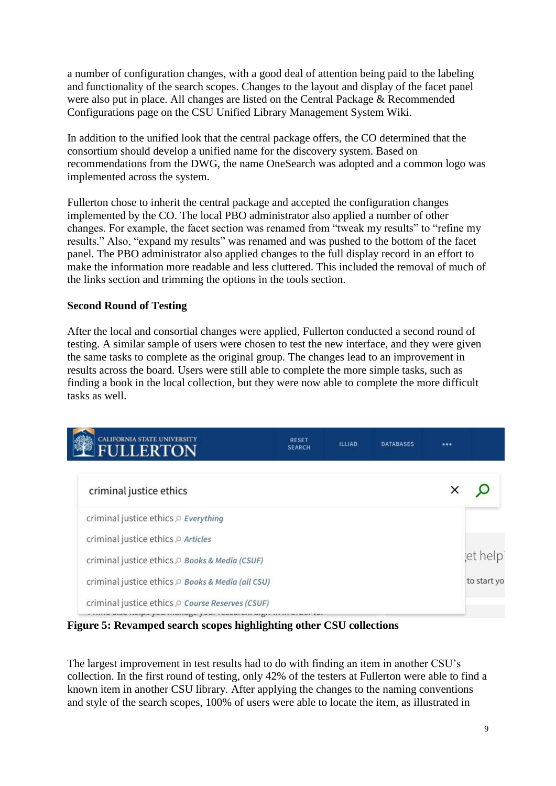a number of configuration changes, with a good deal of attention being paid to the labeling and functionality of the search scopes. Changes to the layout and display of the facet panel were also put in place. All changes are listed on the Central Package & Recommended Configurations page on the CSU Unified Library Management System Wiki.

In addition to the unified look that the central package offers, the CO determined that the consortium should develop a unified name for the discovery system. Based on recommendations from the DWG, the name OneSearch was adopted and a common logo was implemented across the system.

Fullerton chose to inherit the central package and accepted the configuration changes implemented by the CO. The local PBO administrator also applied a number of other changes. For example, the facet section was renamed from "tweak my results" to "refine my results." Also, "expand my results" was renamed and was pushed to the bottom of the facet panel. The PBO administrator also applied changes to the full display record in an effort to make the information more readable and less cluttered. This included the removal of much of the links section and trimming the options in the tools section.

### **Second Round of Testing**

After the local and consortial changes were applied, Fullerton conducted a second round of testing. A similar sample of users were chosen to test the new interface, and they were given the same tasks to complete as the original group. The changes lead to an improvement in results across the board. Users were still able to complete the more simple tasks, such as finding a book in the local collection, but they were now able to complete the more difficult tasks as well.



**Figure 5: Revamped search scopes highlighting other CSU collections**

The largest improvement in test results had to do with finding an item in another CSU's collection. In the first round of testing, only 42% of the testers at Fullerton were able to find a known item in another CSU library. After applying the changes to the naming conventions and style of the search scopes, 100% of users were able to locate the item, as illustrated in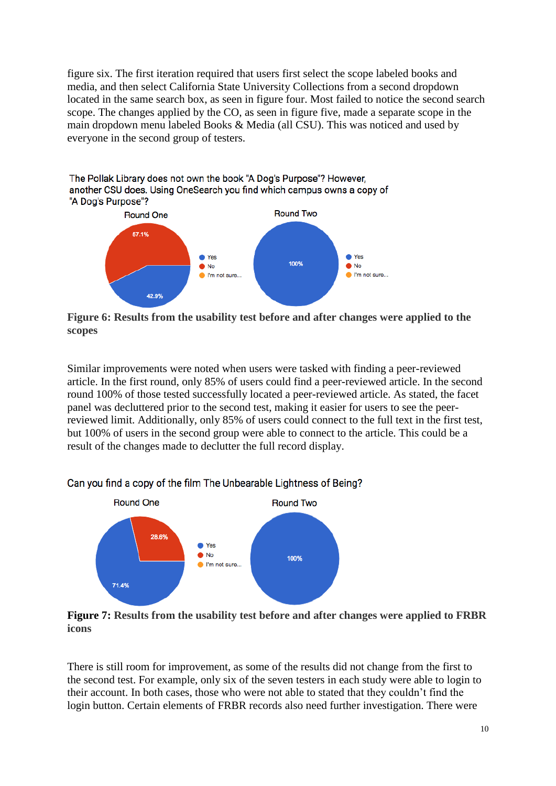figure six. The first iteration required that users first select the scope labeled books and media, and then select California State University Collections from a second dropdown located in the same search box, as seen in figure four. Most failed to notice the second search scope. The changes applied by the CO, as seen in figure five, made a separate scope in the main dropdown menu labeled Books & Media (all CSU). This was noticed and used by everyone in the second group of testers.



**Figure 6: Results from the usability test before and after changes were applied to the scopes**

Similar improvements were noted when users were tasked with finding a peer-reviewed article. In the first round, only 85% of users could find a peer-reviewed article. In the second round 100% of those tested successfully located a peer-reviewed article. As stated, the facet panel was decluttered prior to the second test, making it easier for users to see the peerreviewed limit. Additionally, only 85% of users could connect to the full text in the first test, but 100% of users in the second group were able to connect to the article. This could be a result of the changes made to declutter the full record display.



Can you find a copy of the film The Unbearable Lightness of Being?

**Figure 7: Results from the usability test before and after changes were applied to FRBR icons**

There is still room for improvement, as some of the results did not change from the first to the second test. For example, only six of the seven testers in each study were able to login to their account. In both cases, those who were not able to stated that they couldn't find the login button. Certain elements of FRBR records also need further investigation. There were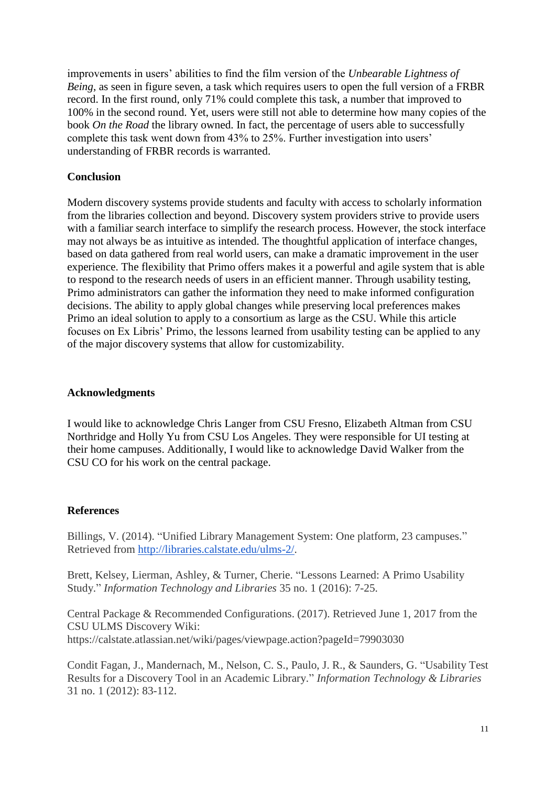improvements in users' abilities to find the film version of the *Unbearable Lightness of Being*, as seen in figure seven, a task which requires users to open the full version of a FRBR record. In the first round, only 71% could complete this task, a number that improved to 100% in the second round. Yet, users were still not able to determine how many copies of the book *On the Road* the library owned. In fact, the percentage of users able to successfully complete this task went down from 43% to 25%. Further investigation into users' understanding of FRBR records is warranted.

#### **Conclusion**

Modern discovery systems provide students and faculty with access to scholarly information from the libraries collection and beyond. Discovery system providers strive to provide users with a familiar search interface to simplify the research process. However, the stock interface may not always be as intuitive as intended. The thoughtful application of interface changes, based on data gathered from real world users, can make a dramatic improvement in the user experience. The flexibility that Primo offers makes it a powerful and agile system that is able to respond to the research needs of users in an efficient manner. Through usability testing, Primo administrators can gather the information they need to make informed configuration decisions. The ability to apply global changes while preserving local preferences makes Primo an ideal solution to apply to a consortium as large as the CSU. While this article focuses on Ex Libris' Primo, the lessons learned from usability testing can be applied to any of the major discovery systems that allow for customizability.

### **Acknowledgments**

I would like to acknowledge Chris Langer from CSU Fresno, Elizabeth Altman from CSU Northridge and Holly Yu from CSU Los Angeles. They were responsible for UI testing at their home campuses. Additionally, I would like to acknowledge David Walker from the CSU CO for his work on the central package.

## **References**

Billings, V. (2014). "Unified Library Management System: One platform, 23 campuses." Retrieved from [http://libraries.calstate.edu/ulms-2/.](http://libraries.calstate.edu/ulms-2/)

Brett, Kelsey, Lierman, Ashley, & Turner, Cherie. "Lessons Learned: A Primo Usability Study." *Information Technology and Libraries* 35 no. 1 (2016): 7-25.

Central Package & Recommended Configurations. (2017). Retrieved June 1, 2017 from the CSU ULMS Discovery Wiki: https://calstate.atlassian.net/wiki/pages/viewpage.action?pageId=79903030

Condit Fagan, J., Mandernach, M., Nelson, C. S., Paulo, J. R., & Saunders, G. "Usability Test Results for a Discovery Tool in an Academic Library." *Information Technology & Libraries* 31 no. 1 (2012): 83-112.